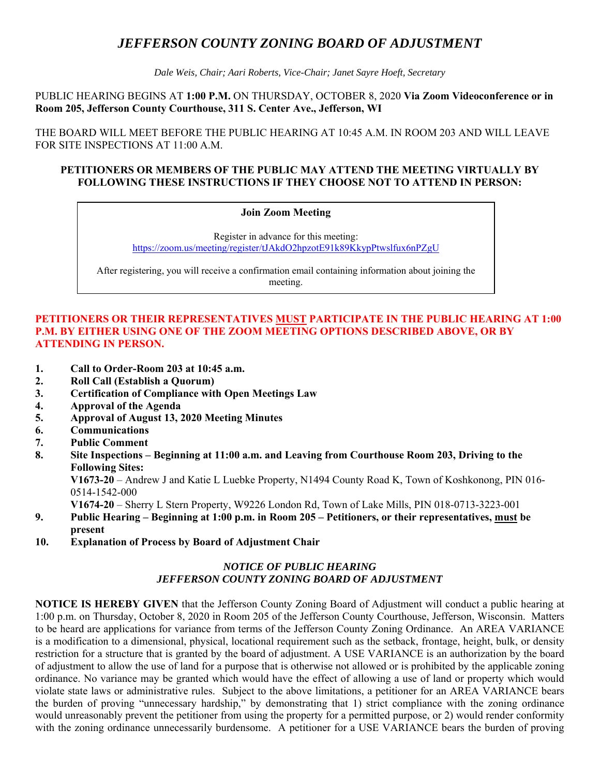# *JEFFERSON COUNTY ZONING BOARD OF ADJUSTMENT*

*Dale Weis, Chair; Aari Roberts, Vice-Chair; Janet Sayre Hoeft, Secretary* 

PUBLIC HEARING BEGINS AT **1:00 P.M.** ON THURSDAY, OCTOBER 8, 2020 **Via Zoom Videoconference or in Room 205, Jefferson County Courthouse, 311 S. Center Ave., Jefferson, WI** 

THE BOARD WILL MEET BEFORE THE PUBLIC HEARING AT 10:45 A.M. IN ROOM 203 AND WILL LEAVE FOR SITE INSPECTIONS AT 11:00 A.M.

## **PETITIONERS OR MEMBERS OF THE PUBLIC MAY ATTEND THE MEETING VIRTUALLY BY FOLLOWING THESE INSTRUCTIONS IF THEY CHOOSE NOT TO ATTEND IN PERSON:**

#### **Join Zoom Meeting**

Register in advance for this meeting: https://zoom.us/meeting/register/tJAkdO2hpzotE91k89KkypPtwslfux6nPZgU

After registering, you will receive a confirmation email containing information about joining the meeting.

## **PETITIONERS OR THEIR REPRESENTATIVES MUST PARTICIPATE IN THE PUBLIC HEARING AT 1:00 P.M. BY EITHER USING ONE OF THE ZOOM MEETING OPTIONS DESCRIBED ABOVE, OR BY ATTENDING IN PERSON.**

- **1. Call to Order-Room 203 at 10:45 a.m.**
- **2. Roll Call (Establish a Quorum)**
- **3. Certification of Compliance with Open Meetings Law**
- **4. Approval of the Agenda**
- **5. Approval of August 13, 2020 Meeting Minutes**
- **6. Communications**
- **7. Public Comment**
- **8. Site Inspections Beginning at 11:00 a.m. and Leaving from Courthouse Room 203, Driving to the Following Sites:**

 **V1673-20** – Andrew J and Katie L Luebke Property, N1494 County Road K, Town of Koshkonong, PIN 016- 0514-1542-000

**V1674-20** – Sherry L Stern Property, W9226 London Rd, Town of Lake Mills, PIN 018-0713-3223-001

- **9. Public Hearing Beginning at 1:00 p.m. in Room 205 Petitioners, or their representatives, must be present**
- **10. Explanation of Process by Board of Adjustment Chair**

## *NOTICE OF PUBLIC HEARING JEFFERSON COUNTY ZONING BOARD OF ADJUSTMENT*

**NOTICE IS HEREBY GIVEN** that the Jefferson County Zoning Board of Adjustment will conduct a public hearing at 1:00 p.m. on Thursday, October 8, 2020 in Room 205 of the Jefferson County Courthouse, Jefferson, Wisconsin. Matters to be heard are applications for variance from terms of the Jefferson County Zoning Ordinance. An AREA VARIANCE is a modification to a dimensional, physical, locational requirement such as the setback, frontage, height, bulk, or density restriction for a structure that is granted by the board of adjustment. A USE VARIANCE is an authorization by the board of adjustment to allow the use of land for a purpose that is otherwise not allowed or is prohibited by the applicable zoning ordinance. No variance may be granted which would have the effect of allowing a use of land or property which would violate state laws or administrative rules. Subject to the above limitations, a petitioner for an AREA VARIANCE bears the burden of proving "unnecessary hardship," by demonstrating that 1) strict compliance with the zoning ordinance would unreasonably prevent the petitioner from using the property for a permitted purpose, or 2) would render conformity with the zoning ordinance unnecessarily burdensome. A petitioner for a USE VARIANCE bears the burden of proving